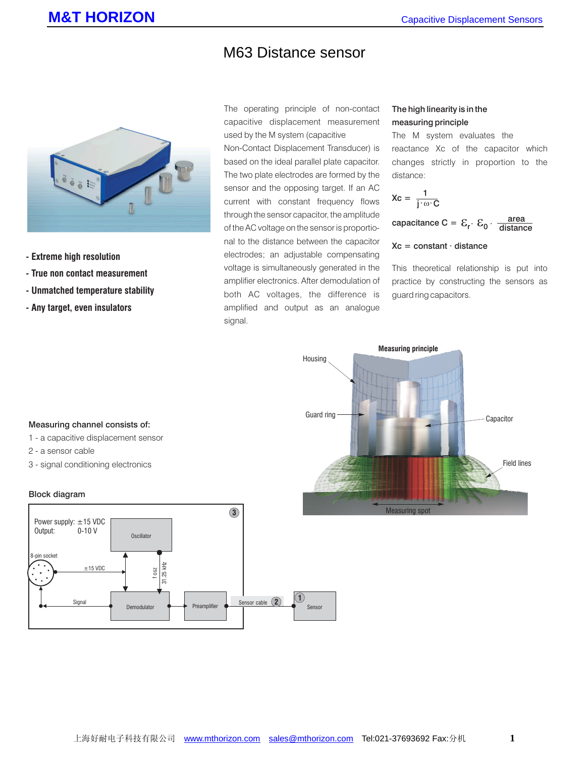# M63 Distance sensor



- **Extreme high resolution**
- **True non contact measurement**
- **Unmatched temperature stability**
- **Any target, even insulators**

The operating principle of non-contact capacitive displacement measurement used by the M system (capacitive

Non-Contact Displacement Transducer) is based on the ideal parallel plate capacitor. The two plate electrodes are formed by the sensor and the opposing target. If an AC current with constant frequency flows through the sensor capacitor, the amplitude of the AC voltage on the sensor is proportional to the distance between the capacitor electrodes; an adjustable compensating voltage is simultaneously generated in the amplifier electronics. After demodulation of both AC voltages, the difference is amplified and output as an analogue signal.

# The high linearity is in the measuring principle

The M system evaluates the reactance Xc of the capacitor which changes strictly in proportion to the distance:

$$
Xc = \frac{1}{j \cdot \omega \cdot C}
$$

capacitance C =  $\mathcal{E}_{\mathsf{r}} \cdot \mathcal{E}_{\mathsf{0}} \cdot \frac{\mathsf{area}}{\mathsf{distance}}$ 

# $Xc = constant \cdot distance$

This theoretical relationship is put into practice by constructing the sensors as guard ring capacitors.



### Measuring channel consists of:

- 1 a capacitive displacement sensor
- 2 a sensor cable
- 3 signal conditioning electronics

#### Block diagram

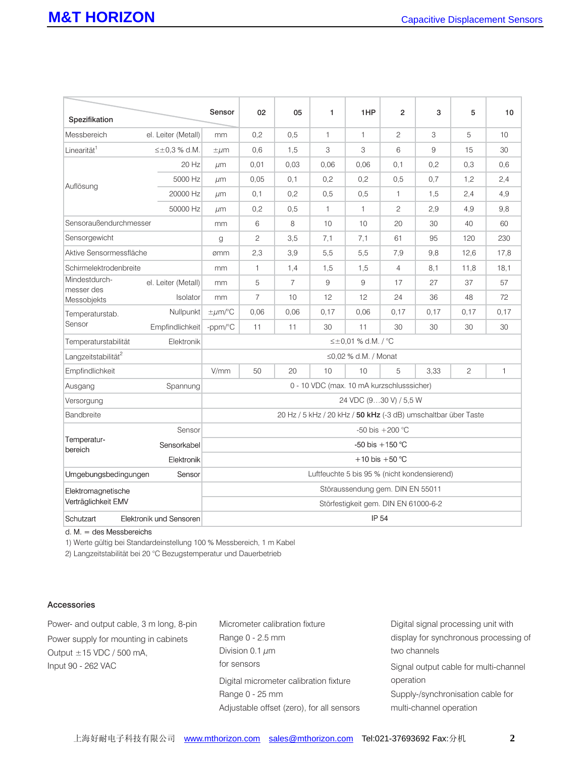| Spezifikation                              |                       | Sensor                                                         | 02             | 05             | 1            | 1HP          | $\overline{2}$ | 3    | 5              | 10           |
|--------------------------------------------|-----------------------|----------------------------------------------------------------|----------------|----------------|--------------|--------------|----------------|------|----------------|--------------|
| Messbereich                                | el. Leiter (Metall)   | mm                                                             | 0,2            | 0,5            | $\mathbf{1}$ | $\mathbf{1}$ | $\mathfrak{D}$ | 3    | 5              | 10           |
| Linearität <sup>1</sup>                    | $\leq \pm 0.3$ % d.M. | $\pm \mu$ m                                                    | 0,6            | 1,5            | 3            | 3            | 6              | 9    | 15             | 30           |
| Auflösung                                  | 20 Hz                 | µm                                                             | 0.01           | 0.03           | 0.06         | 0,06         | 0,1            | 0,2  | 0,3            | 0,6          |
|                                            | 5000 Hz               | µm                                                             | 0,05           | 0,1            | 0,2          | 0,2          | 0,5            | 0,7  | 1,2            | 2,4          |
|                                            | 20000 Hz              | $\mu$ m                                                        | 0,1            | 0,2            | 0,5          | 0.5          | $\mathbf{1}$   | 1,5  | 2,4            | 4,9          |
|                                            | 50000 Hz              | µm                                                             | 0,2            | 0,5            | $\mathbf{1}$ | $\mathbf{1}$ | $\overline{c}$ | 2.9  | 4,9            | 9,8          |
| Sensoraußendurchmesser                     |                       | mm                                                             | 6              | 8              | 10           | 10           | 20             | 30   | 40             | 60           |
| Sensorgewicht                              |                       | $\alpha$                                                       | $\overline{c}$ | 3.5            | 7,1          | 7,1          | 61             | 95   | 120            | 230          |
| Aktive Sensormessfläche                    |                       | ømm                                                            | 2,3            | 3.9            | 5,5          | 5,5          | 7,9            | 9,8  | 12,6           | 17,8         |
| Schirmelektrodenbreite                     |                       | mm                                                             | $\mathbf{1}$   | 1,4            | 1,5          | 1,5          | $\overline{4}$ | 8,1  | 11,8           | 18,1         |
| Mindestdurch-<br>messer des<br>Messobjekts | el. Leiter (Metall)   | mm                                                             | 5              | $\overline{7}$ | 9            | 9            | 17             | 27   | 37             | 57           |
|                                            | Isolator              | mm                                                             | $\overline{7}$ | 10             | 12           | 12           | 24             | 36   | 48             | 72           |
| Temperaturstab.<br>Sensor                  | Nullpunkt             | $\pm \mu$ m/°C                                                 | 0,06           | 0.06           | 0.17         | 0,06         | 0.17           | 0,17 | 0.17           | 0,17         |
|                                            | Empfindlichkeit       | -ppm/°C                                                        | 11             | 11             | 30           | 11           | 30             | 30   | 30             | 30           |
| Elektronik<br>Temperaturstabilität         |                       | ≤±0,01 % d.M. / °C                                             |                |                |              |              |                |      |                |              |
| Langzeitstabilität <sup>2</sup>            |                       | $\leq$ 0,02 % d.M. / Monat                                     |                |                |              |              |                |      |                |              |
| Empfindlichkeit                            |                       | V/mm                                                           | 50             | 20             | 10           | 10           | 5              | 3,33 | $\overline{c}$ | $\mathbf{1}$ |
| Spannung<br>Ausgang                        |                       | 0 - 10 VDC (max. 10 mA kurzschlusssicher)                      |                |                |              |              |                |      |                |              |
| Versorgung                                 |                       | 24 VDC (930 V) / 5,5 W                                         |                |                |              |              |                |      |                |              |
| Bandbreite                                 |                       | 20 Hz / 5 kHz / 20 kHz / 50 kHz (-3 dB) umschaltbar über Taste |                |                |              |              |                |      |                |              |
| Temperatur-<br>bereich                     | Sensor                | -50 bis $+200$ °C                                              |                |                |              |              |                |      |                |              |
|                                            | Sensorkabel           | -50 bis $+150$ °C                                              |                |                |              |              |                |      |                |              |
|                                            | Elektronik            | +10 bis +50 $^{\circ}$ C                                       |                |                |              |              |                |      |                |              |
| Sensor<br>Umgebungsbedingungen             |                       | Luftfeuchte 5 bis 95 % (nicht kondensierend)                   |                |                |              |              |                |      |                |              |
| Elektromagnetische<br>Verträglichkeit EMV  |                       | Störaussendung gem. DIN EN 55011                               |                |                |              |              |                |      |                |              |
|                                            |                       | Störfestigkeit gem. DIN EN 61000-6-2                           |                |                |              |              |                |      |                |              |
| Schutzart<br>Elektronik und Sensoren       |                       | IP 54                                                          |                |                |              |              |                |      |                |              |

d. M. = des Messbereichs

1) Werte gültig bei Standardeinstellung 100 % Messbereich, 1 m Kabel

2) Langzeitstabilität bei 20 °C Bezugstemperatur und Dauerbetrieb

# Accessories

Power- and output cable, 3 m long, 8-pin Power supply for mounting in cabinets Output  $\pm$  15 VDC / 500 mA, Input 90 - 262 VAC

Micrometer calibration fixture Range 0 - 2.5 mm Division  $0.1 \mu m$ Digital micrometer calibration fixture Range 0 - 25 mm Adjustable offset (zero), for all sensors for sensors

Digital signal processing unit with display for synchronous processing of two channels Signal output cable for multi-channel operation

Supply-/synchronisation cable for multi-channel operation